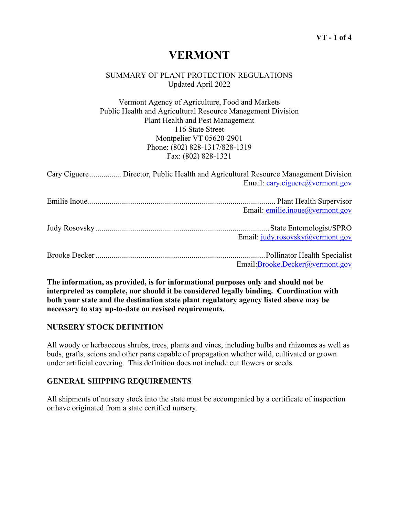# **VERMONT**

## SUMMARY OF PLANT PROTECTION REGULATIONS Updated April 2022

Vermont Agency of Agriculture, Food and Markets Public Health and Agricultural Resource Management Division Plant Health and Pest Management 116 State Street Montpelier VT 05620-2901 Phone: (802) 828-1317/828-1319 Fax: (802) 828-1321

| Cary Ciguere  Director, Public Health and Agricultural Resource Management Division | Email: cary.ciguere@vermont.gov  |
|-------------------------------------------------------------------------------------|----------------------------------|
|                                                                                     | Email: emilie.inoue@vermont.gov  |
|                                                                                     | Email: judy.rosovsky@vermont.gov |
|                                                                                     | Email:Brooke.Decker@vermont.gov  |

**The information, as provided, is for informational purposes only and should not be interpreted as complete, nor should it be considered legally binding. Coordination with both your state and the destination state plant regulatory agency listed above may be necessary to stay up-to-date on revised requirements.**

# **NURSERY STOCK DEFINITION**

All woody or herbaceous shrubs, trees, plants and vines, including bulbs and rhizomes as well as buds, grafts, scions and other parts capable of propagation whether wild, cultivated or grown under artificial covering. This definition does not include cut flowers or seeds.

# **GENERAL SHIPPING REQUIREMENTS**

All shipments of nursery stock into the state must be accompanied by a certificate of inspection or have originated from a state certified nursery.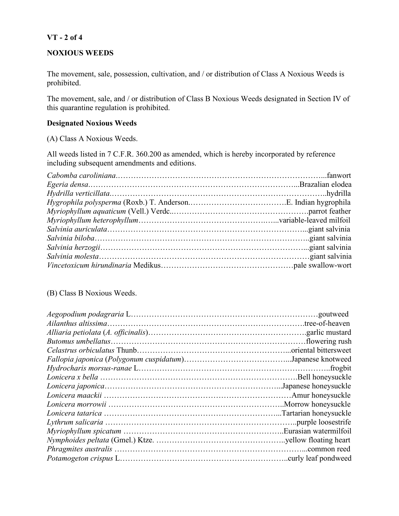# **VT - 2 of 4**

### **NOXIOUS WEEDS**

The movement, sale, possession, cultivation, and / or distribution of Class A Noxious Weeds is prohibited.

The movement, sale, and / or distribution of Class B Noxious Weeds designated in Section IV of this quarantine regulation is prohibited.

#### **Designated Noxious Weeds**

(A) Class A Noxious Weeds.

All weeds listed in 7 C.F.R. 360.200 as amended, which is hereby incorporated by reference including subsequent amendments and editions.

#### (B) Class B Noxious Weeds.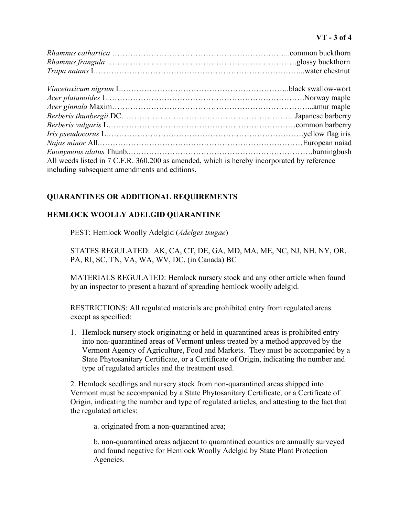## **VT - 3 of 4**

| All weeds listed in 7 C.F.R. 360.200 as amended, which is hereby incorporated by reference |  |
|--------------------------------------------------------------------------------------------|--|
| including subsequent amendments and editions.                                              |  |

## **QUARANTINES OR ADDITIONAL REQUIREMENTS**

## **HEMLOCK WOOLLY ADELGID QUARANTINE**

PEST: Hemlock Woolly Adelgid (*Adelges tsugae*)

STATES REGULATED: AK, CA, CT, DE, GA, MD, MA, ME, NC, NJ, NH, NY, OR, PA, RI, SC, TN, VA, WA, WV, DC, (in Canada) BC

MATERIALS REGULATED: Hemlock nursery stock and any other article when found by an inspector to present a hazard of spreading hemlock woolly adelgid.

RESTRICTIONS: All regulated materials are prohibited entry from regulated areas except as specified:

1. Hemlock nursery stock originating or held in quarantined areas is prohibited entry into non-quarantined areas of Vermont unless treated by a method approved by the Vermont Agency of Agriculture, Food and Markets. They must be accompanied by a State Phytosanitary Certificate, or a Certificate of Origin, indicating the number and type of regulated articles and the treatment used.

2. Hemlock seedlings and nursery stock from non-quarantined areas shipped into Vermont must be accompanied by a State Phytosanitary Certificate, or a Certificate of Origin, indicating the number and type of regulated articles, and attesting to the fact that the regulated articles:

a. originated from a non-quarantined area;

b. non-quarantined areas adjacent to quarantined counties are annually surveyed and found negative for Hemlock Woolly Adelgid by State Plant Protection Agencies.